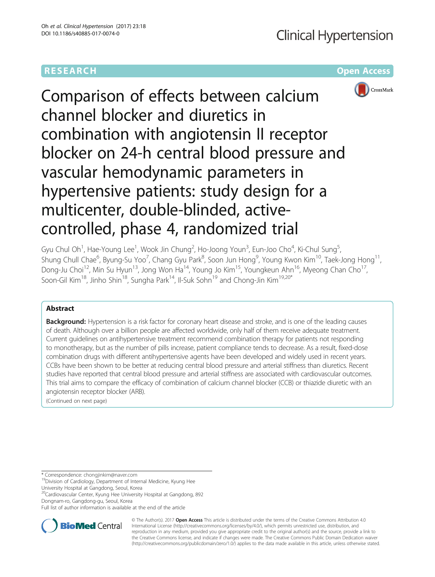# **RESEARCH CHEAR CHEAR CHEAR CHEAR CHEAR CHEAR CHEAR CHEAR CHEAR CHEAR CHEAR CHEAR CHEAR CHEAR CHEAR CHEAR CHEAR**



Comparison of effects between calcium channel blocker and diuretics in combination with angiotensin II receptor blocker on 24-h central blood pressure and vascular hemodynamic parameters in hypertensive patients: study design for a multicenter, double-blinded, activecontrolled, phase 4, randomized trial

Gyu Chul Oh $^1$ , Hae-Young Lee $^1$ , Wook Jin Chung $^2$ , Ho-Joong Youn $^3$ , Eun-Joo Cho $^4$ , Ki-Chul Sung $^5$ , Shung Chull Chae<sup>6</sup>, Byung-Su Yoo<sup>7</sup>, Chang Gyu Park<sup>8</sup>, Soon Jun Hong<sup>9</sup>, Young Kwon Kim<sup>10</sup>, Taek-Jong Hong<sup>11</sup>, Dong-Ju Choi<sup>12</sup>, Min Su Hyun<sup>13</sup>, Jong Won Ha<sup>14</sup>, Young Jo Kim<sup>15</sup>, Youngkeun Ahn<sup>16</sup>, Myeong Chan Cho<sup>17</sup>, Soon-Gil Kim<sup>18</sup>, Jinho Shin<sup>18</sup>, Sungha Park<sup>14</sup>, Il-Suk Sohn<sup>19</sup> and Chong-Jin Kim<sup>19,20\*</sup>

# Abstract

**Background:** Hypertension is a risk factor for coronary heart disease and stroke, and is one of the leading causes of death. Although over a billion people are affected worldwide, only half of them receive adequate treatment. Current guidelines on antihypertensive treatment recommend combination therapy for patients not responding to monotherapy, but as the number of pills increase, patient compliance tends to decrease. As a result, fixed-dose combination drugs with different antihypertensive agents have been developed and widely used in recent years. CCBs have been shown to be better at reducing central blood pressure and arterial stiffness than diuretics. Recent studies have reported that central blood pressure and arterial stiffness are associated with cardiovascular outcomes. This trial aims to compare the efficacy of combination of calcium channel blocker (CCB) or thiazide diuretic with an angiotensin receptor blocker (ARB).

(Continued on next page)

\* Correspondence: [chongjinkim@naver.com](mailto:chongjinkim@naver.com) 19Division of Cardiology, Department of Internal Medicine, Kyung Hee University Hospital at Gangdong, Seoul, Korea

<sup>20</sup>Cardiovascular Center, Kyung Hee University Hospital at Gangdong, 892 Dongnam-ro, Gangdong-gu, Seoul, Korea

Full list of author information is available at the end of the article



© The Author(s). 2017 **Open Access** This article is distributed under the terms of the Creative Commons Attribution 4.0 International License [\(http://creativecommons.org/licenses/by/4.0/](http://creativecommons.org/licenses/by/4.0/)), which permits unrestricted use, distribution, and reproduction in any medium, provided you give appropriate credit to the original author(s) and the source, provide a link to the Creative Commons license, and indicate if changes were made. The Creative Commons Public Domain Dedication waiver [\(http://creativecommons.org/publicdomain/zero/1.0/](http://creativecommons.org/publicdomain/zero/1.0/)) applies to the data made available in this article, unless otherwise stated.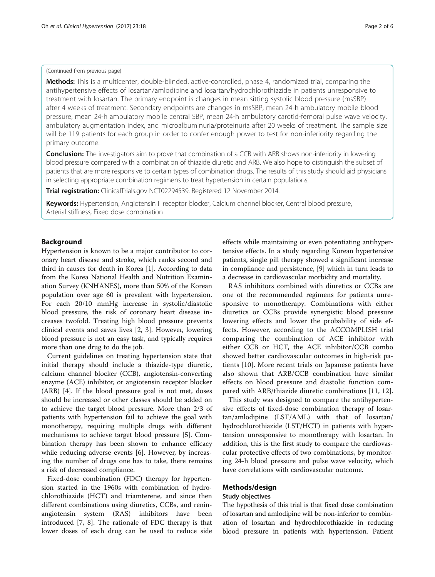### (Continued from previous page)

Methods: This is a multicenter, double-blinded, active-controlled, phase 4, randomized trial, comparing the antihypertensive effects of losartan/amlodipine and losartan/hydrochlorothiazide in patients unresponsive to treatment with losartan. The primary endpoint is changes in mean sitting systolic blood pressure (msSBP) after 4 weeks of treatment. Secondary endpoints are changes in msSBP, mean 24-h ambulatory mobile blood pressure, mean 24-h ambulatory mobile central SBP, mean 24-h ambulatory carotid-femoral pulse wave velocity, ambulatory augmentation index, and microalbuminuria/proteinuria after 20 weeks of treatment. The sample size will be 119 patients for each group in order to confer enough power to test for non-inferiority regarding the primary outcome.

**Conclusion:** The investigators aim to prove that combination of a CCB with ARB shows non-inferiority in lowering blood pressure compared with a combination of thiazide diuretic and ARB. We also hope to distinguish the subset of patients that are more responsive to certain types of combination drugs. The results of this study should aid physicians in selecting appropriate combination regimens to treat hypertension in certain populations.

Trial registration: [ClinicalTrials.gov](http://clinicaltrials.gov) NCT02294539. Registered 12 November 2014.

Keywords: Hypertension, Angiotensin II receptor blocker, Calcium channel blocker, Central blood pressure, Arterial stiffness, Fixed dose combination

# Background

Hypertension is known to be a major contributor to coronary heart disease and stroke, which ranks second and third in causes for death in Korea [[1\]](#page-5-0). According to data from the Korea National Health and Nutrition Examination Survey (KNHANES), more than 50% of the Korean population over age 60 is prevalent with hypertension. For each 20/10 mmHg increase in systolic/diastolic blood pressure, the risk of coronary heart disease increases twofold. Treating high blood pressure prevents clinical events and saves lives [\[2, 3\]](#page-5-0). However, lowering blood pressure is not an easy task, and typically requires more than one drug to do the job.

Current guidelines on treating hypertension state that initial therapy should include a thiazide-type diuretic, calcium channel blocker (CCB), angiotensin-converting enzyme (ACE) inhibitor, or angiotensin receptor blocker (ARB) [\[4](#page-5-0)]. If the blood pressure goal is not met, doses should be increased or other classes should be added on to achieve the target blood pressure. More than 2/3 of patients with hypertension fail to achieve the goal with monotherapy, requiring multiple drugs with different mechanisms to achieve target blood pressure [[5\]](#page-5-0). Combination therapy has been shown to enhance efficacy while reducing adverse events [[6\]](#page-5-0). However, by increasing the number of drugs one has to take, there remains a risk of decreased compliance.

Fixed-dose combination (FDC) therapy for hypertension started in the 1960s with combination of hydrochlorothiazide (HCT) and triamterene, and since then different combinations using diuretics, CCBs, and reninangiotensin system (RAS) inhibitors have been introduced [\[7](#page-5-0), [8\]](#page-5-0). The rationale of FDC therapy is that lower doses of each drug can be used to reduce side

effects while maintaining or even potentiating antihypertensive effects. In a study regarding Korean hypertensive patients, single pill therapy showed a significant increase in compliance and persistence, [[9\]](#page-5-0) which in turn leads to a decrease in cardiovascular morbidity and mortality.

RAS inhibitors combined with diuretics or CCBs are one of the recommended regimens for patients unresponsive to monotherapy. Combinations with either diuretics or CCBs provide synergistic blood pressure lowering effects and lower the probability of side effects. However, according to the ACCOMPLISH trial comparing the combination of ACE inhibitor with either CCB or HCT, the ACE inhibitor/CCB combo showed better cardiovascular outcomes in high-risk patients [\[10](#page-5-0)]. More recent trials on Japanese patients have also shown that ARB/CCB combination have similar effects on blood pressure and diastolic function compared with ARB/thiazide diuretic combinations [[11, 12](#page-5-0)].

This study was designed to compare the antihypertensive effects of fixed-dose combination therapy of losartan/amlodipine (LST/AML) with that of losartan/ hydrochlorothiazide (LST/HCT) in patients with hypertension unresponsive to monotherapy with losartan. In addition, this is the first study to compare the cardiovascular protective effects of two combinations, by monitoring 24-h blood pressure and pulse wave velocity, which have correlations with cardiovascular outcome.

#### Methods/design

### Study objectives

The hypothesis of this trial is that fixed dose combination of losartan and amlodipine will be non-inferior to combination of losartan and hydrochlorothiazide in reducing blood pressure in patients with hypertension. Patient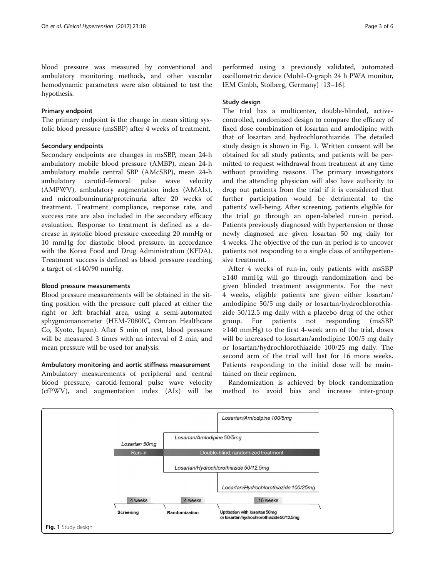blood pressure was measured by conventional and ambulatory monitoring methods, and other vascular hemodynamic parameters were also obtained to test the hypothesis.

### Primary endpoint

The primary endpoint is the change in mean sitting systolic blood pressure (msSBP) after 4 weeks of treatment.

# Secondary endpoints

Secondary endpoints are changes in msSBP, mean 24-h ambulatory mobile blood pressure (AMBP), mean 24-h ambulatory mobile central SBP (AMcSBP), mean 24-h ambulatory carotid-femoral pulse wave velocity (AMPWV), ambulatory augmentation index (AMAIx), and microalbuminuria/proteinuria after 20 weeks of treatment. Treatment compliance, response rate, and success rate are also included in the secondary efficacy evaluation. Response to treatment is defined as a decrease in systolic blood pressure exceeding 20 mmHg or 10 mmHg for diastolic blood pressure, in accordance with the Korea Food and Drug Administration (KFDA). Treatment success is defined as blood pressure reaching a target of <140/90 mmHg.

### Blood pressure measurements

Blood pressure measurements will be obtained in the sitting position with the pressure cuff placed at either the right or left brachial area, using a semi-automated sphygmomanometer (HEM-7080IC, Omron Healthcare Co, Kyoto, Japan). After 5 min of rest, blood pressure will be measured 3 times with an interval of 2 min, and mean pressure will be used for analysis.

# Ambulatory monitoring and aortic stiffness measurement

Ambulatory measurements of peripheral and central blood pressure, carotid-femoral pulse wave velocity (cfPWV), and augmentation index (AIx) will be

performed using a previously validated, automated oscillometric device (Mobil-O-graph 24 h PWA monitor, IEM Gmbh, Stolberg, Germany) [[13](#page-5-0)–[16](#page-5-0)].

# Study design

The trial has a multicenter, double-blinded, activecontrolled, randomized design to compare the efficacy of fixed dose combination of losartan and amlodipine with that of losartan and hydrochlorothiazide. The detailed study design is shown in Fig. 1. Written consent will be obtained for all study patients, and patients will be permitted to request withdrawal from treatment at any time without providing reasons. The primary investigators and the attending physician will also have authority to drop out patients from the trial if it is considered that further participation would be detrimental to the patients' well-being. After screening, patients eligible for the trial go through an open-labeled run-in period. Patients previously diagnosed with hypertension or those newly diagnosed are given losartan 50 mg daily for 4 weeks. The objective of the run-in period is to uncover patients not responding to a single class of antihypertensive treatment.

After 4 weeks of run-in, only patients with msSBP ≥140 mmHg will go through randomization and be given blinded treatment assignments. For the next 4 weeks, eligible patients are given either losartan/ amlodipine 50/5 mg daily or losartan/hydrochlorothiazide 50/12.5 mg daily with a placebo drug of the other group. For patients not responding (msSBP ≥140 mmHg) to the first 4-week arm of the trial, doses will be increased to losartan/amlodipine 100/5 mg daily or losartan/hydrochlorothiazide 100/25 mg daily. The second arm of the trial will last for 16 more weeks. Patients responding to the initial dose will be maintained on their regimen.

Randomization is achieved by block randomization method to avoid bias and increase inter-group

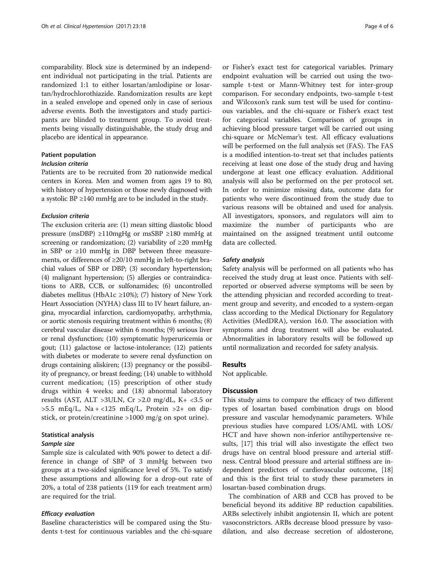comparability. Block size is determined by an independent individual not participating in the trial. Patients are randomized 1:1 to either losartan/amlodipine or losartan/hydrochlorothiazide. Randomization results are kept in a sealed envelope and opened only in case of serious adverse events. Both the investigators and study participants are blinded to treatment group. To avoid treatments being visually distinguishable, the study drug and placebo are identical in appearance.

### Patient population

#### Inclusion criteria

Patients are to be recruited from 20 nationwide medical centers in Korea. Men and women from ages 19 to 80, with history of hypertension or those newly diagnosed with a systolic BP ≥140 mmHg are to be included in the study.

### Exclusion criteria

The exclusion criteria are: (1) mean sitting diastolic blood pressure (msDBP) ≥110mgHg or msSBP ≥180 mmHg at screening or randomization; (2) variability of ≥20 mmHg in SBP or ≥10 mmHg in DBP between three measurements, or differences of ≥20/10 mmHg in left-to-right brachial values of SBP or DBP; (3) secondary hypertension; (4) malignant hypertension; (5) allergies or contraindications to ARB, CCB, or sulfonamides; (6) uncontrolled diabetes mellitus (HbA1c ≥10%); (7) history of New York Heart Association (NYHA) class III to IV heart failure, angina, myocardial infarction, cardiomyopathy, arrhythmia, or aortic stenosis requiring treatment within 6 months; (8) cerebral vascular disease within 6 months; (9) serious liver or renal dysfunction; (10) symptomatic hyperuricemia or gout; (11) galactose or lactose-intolerance; (12) patients with diabetes or moderate to severe renal dysfunction on drugs containing aliskiren; (13) pregnancy or the possibility of pregnancy, or breast feeding; (14) unable to withhold current medication; (15) prescription of other study drugs within 4 weeks; and (18) abnormal laboratory results (AST, ALT > 3ULN, Cr > 2.0 mg/dL, K + < 3.5 or  $>5.5$  mEq/L, Na + <125 mEq/L, Protein  $>2+$  on dipstick, or protein/creatinine >1000 mg/g on spot urine).

### Statistical analysis

#### Sample size

Sample size is calculated with 90% power to detect a difference in change of SBP of 3 mmHg between two groups at a two-sided significance level of 5%. To satisfy these assumptions and allowing for a drop-out rate of 20%, a total of 238 patients (119 for each treatment arm) are required for the trial.

#### Efficacy evaluation

Baseline characteristics will be compared using the Students t-test for continuous variables and the chi-square or Fisher's exact test for categorical variables. Primary endpoint evaluation will be carried out using the twosample t-test or Mann-Whitney test for inter-group comparison. For secondary endpoints, two-sample t-test and Wilcoxon's rank sum test will be used for continuous variables, and the chi-square or Fisher's exact test for categorical variables. Comparison of groups in achieving blood pressure target will be carried out using chi-square or McNemar's test. All efficacy evaluations will be performed on the full analysis set (FAS). The FAS is a modified intention-to-treat set that includes patients receiving at least one dose of the study drug and having undergone at least one efficacy evaluation. Additional analysis will also be performed on the per protocol set. In order to minimize missing data, outcome data for patients who were discontinued from the study due to various reasons will be obtained and used for analysis. All investigators, sponsors, and regulators will aim to maximize the number of participants who are maintained on the assigned treatment until outcome data are collected.

#### Safety analysis

Safety analysis will be performed on all patients who has received the study drug at least once. Patients with selfreported or observed adverse symptoms will be seen by the attending physician and recorded according to treatment group and severity, and encoded to a system-organ class according to the Medical Dictionary for Regulatory Activities (MedDRA), version 16.0. The association with symptoms and drug treatment will also be evaluated. Abnormalities in laboratory results will be followed up until normalization and recorded for safety analysis.

#### Results

Not applicable.

### **Discussion**

This study aims to compare the efficacy of two different types of losartan based combination drugs on blood pressure and vascular hemodynamic parameters. While previous studies have compared LOS/AML with LOS/ HCT and have shown non-inferior antihypertensive results, [[17](#page-5-0)] this trial will also investigate the effect two drugs have on central blood pressure and arterial stiffness. Central blood pressure and arterial stiffness are independent predictors of cardiovascular outcome, [[18](#page-5-0)] and this is the first trial to study these parameters in losartan-based combination drugs.

The combination of ARB and CCB has proved to be beneficial beyond its additive BP reduction capabilities. ARBs selectively inhibit angiotensin II, which are potent vasoconstrictors. ARBs decrease blood pressure by vasodilation, and also decrease secretion of aldosterone,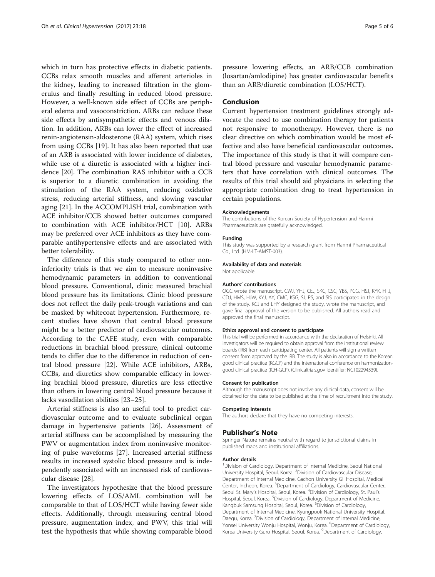which in turn has protective effects in diabetic patients. CCBs relax smooth muscles and afferent arterioles in the kidney, leading to increased filtration in the glomerulus and finally resulting in reduced blood pressure. However, a well-known side effect of CCBs are peripheral edema and vasoconstriction. ARBs can reduce these side effects by antisympathetic effects and venous dilation. In addition, ARBs can lower the effect of increased renin-angiotensin-aldosterone (RAA) system, which rises from using CCBs [[19\]](#page-5-0). It has also been reported that use of an ARB is associated with lower incidence of diabetes, while use of a diuretic is associated with a higher incidence [\[20](#page-5-0)]. The combination RAS inhibitor with a CCB is superior to a diuretic combination in avoiding the stimulation of the RAA system, reducing oxidative stress, reducing arterial stiffness, and slowing vascular aging [[21](#page-5-0)]. In the ACCOMPLISH trial, combination with ACE inhibitor/CCB showed better outcomes compared to combination with ACE inhibitor/HCT [[10\]](#page-5-0). ARBs may be preferred over ACE inhibitors as they have comparable antihypertensive effects and are associated with better tolerability.

The difference of this study compared to other noninferiority trials is that we aim to measure noninvasive hemodynamic parameters in addition to conventional blood pressure. Conventional, clinic measured brachial blood pressure has its limitations. Clinic blood pressure does not reflect the daily peak-trough variations and can be masked by whitecoat hypertension. Furthermore, recent studies have shown that central blood pressure might be a better predictor of cardiovascular outcomes. According to the CAFE study, even with comparable reductions in brachial blood pressure, clinical outcome tends to differ due to the difference in reduction of central blood pressure [[22](#page-5-0)]. While ACE inhibitors, ARBs, CCBs, and diuretics show comparable efficacy in lowering brachial blood pressure, diuretics are less effective than others in lowering central blood pressure because it lacks vasodilation abilities [[23](#page-5-0)–[25](#page-5-0)].

Arterial stiffness is also an useful tool to predict cardiovascular outcome and to evaluate subclinical organ damage in hypertensive patients [\[26](#page-5-0)]. Assessment of arterial stiffness can be accomplished by measuring the PWV or augmentation index from noninvasive monitoring of pulse waveforms [\[27](#page-5-0)]. Increased arterial stiffness results in increased systolic blood pressure and is independently associated with an increased risk of cardiovascular disease [[28\]](#page-5-0).

The investigators hypothesize that the blood pressure lowering effects of LOS/AML combination will be comparable to that of LOS/HCT while having fewer side effects. Additionally, through measuring central blood pressure, augmentation index, and PWV, this trial will test the hypothesis that while showing comparable blood pressure lowering effects, an ARB/CCB combination (losartan/amlodipine) has greater cardiovascular benefits than an ARB/diuretic combination (LOS/HCT).

### Conclusion

Current hypertension treatment guidelines strongly advocate the need to use combination therapy for patients not responsive to monotherapy. However, there is no clear directive on which combination would be most effective and also have beneficial cardiovascular outcomes. The importance of this study is that it will compare central blood pressure and vascular hemodynamic parameters that have correlation with clinical outcomes. The results of this trial should aid physicians in selecting the appropriate combination drug to treat hypertension in certain populations.

#### Acknowledgements

The contributions of the Korean Society of Hypertension and Hanmi Pharmaceuticals are gratefully acknowledged.

#### Funding

This study was supported by a research grant from Hanmi Pharmaceutical Co., Ltd. (HM-IIT-AMST-003).

# Availability of data and materials

Not applicable.

#### Authors' contributions

OGC wrote the manuscript. CWJ, YHJ, CEJ, SKC, CSC, YBS, PCG, HSJ, KYK, HTJ, CDJ, HMS, HJW, KYJ, AY, CMC, KSG, SJ, PS, and SIS participated in the design of the study. KCJ and LHY designed the study, wrote the manuscript, and gave final approval of the version to be published. All authors read and approved the final manuscript.

#### Ethics approval and consent to participate

This trial will be performed in accordance with the declaration of Helsinki. All investigators will be required to obtain approval from the institutional review boards (IRB) from each participating center. All patients will sign a written consent form approved by the IRB. The study is also in accordance to the Korean good clinical practice (KGCP) and the international conference on harmonizationgood clinical practice (ICH-GCP). [\(Clinicaltrials.gov](http://clinicaltrials.gov) Identifier: NCT02294539).

#### Consent for publication

Although the manuscript does not involve any clinical data, consent will be obtained for the data to be published at the time of recruitment into the study.

#### Competing interests

The authors declare that they have no competing interests.

#### Publisher's Note

Springer Nature remains neutral with regard to jurisdictional claims in published maps and institutional affiliations.

#### Author details

<sup>1</sup> Division of Cardiology, Department of Internal Medicine, Seoul National University Hospital, Seoul, Korea. <sup>2</sup>Division of Cardiovascular Disease, Department of Internal Medicine, Gachon University Gil Hospital, Medical Center, Incheon, Korea. <sup>3</sup> Department of Cardiology, Cardiovascular Center Seoul St. Mary's Hospital, Seoul, Korea. <sup>4</sup> Division of Cardiology, St. Paul's Hospital, Seoul, Korea. <sup>5</sup>Division of Cardiology, Department of Medicine, Kangbuk Samsung Hospital, Seoul, Korea. <sup>6</sup>Division of Cardiology Department of Internal Medicine, Kyungpook National University Hospital, Daegu, Korea. <sup>7</sup> Division of Cardiology, Department of Internal Medicine, Yonsei University Wonju Hospital, Wonju, Korea. <sup>8</sup>Department of Cardiology, Korea University Guro Hospital, Seoul, Korea. <sup>9</sup>Department of Cardiology